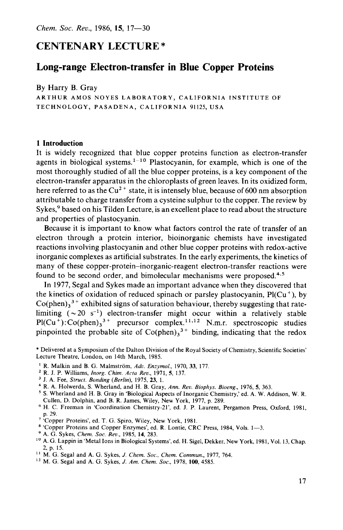# **CENTENARY LECTURE** \*

# **Long-range Electron-transfer in Blue Copper Proteins**

By Harry B. Gray

ARTHUR AMOS NOYES LABORATORY, CALIFORNIA INSTITUTE OF TECHNOLOGY, PASADENA, CALIFORNIA 91125, USA

#### **1 Introduction**

It is widely recognized that blue copper proteins function as electron-transfer agents in biological systems.<sup>1-10</sup> Plastocyanin, for example, which is one of the most thoroughly studied of all the blue copper proteins, is a key component of the electron-transfer apparatus in the chloroplasts of green leaves. In its oxidized form, here referred to as the  $Cu^{2+}$  state, it is intensely blue, because of 600 nm absorption attributable to charge transfer from a cysteine sulphur to the copper. The review by Sykes,<sup>9</sup> based on his Tilden Lecture, is an excellent place to read about the structure and properties of plastocyanin.

Because it is important to know what factors control the rate of transfer of an electron through a protein interior, bioinorganic chemists have investigated reactions involving plastocyanin and other blue copper proteins with redox-active inorganic complexes as artificial substrates. In the early experiments, the kinetics of many of these copper-protein-inorganic-reagent electron-transfer reactions were found to be second order, and bimolecular mechanisms were proposed. $4.5$ 

In 1977, Segal and Sykes made an important advance when they discovered that the kinetics of oxidation of reduced spinach or parsley plastocyanin,  $PI(Cu<sup>+</sup>)$ , by  $Co(phen)_3^3$  + exhibited signs of saturation behaviour, thereby suggesting that ratelimiting  $({\sim} 20 \text{ s}^{-1})$  electron-transfer might occur within a relatively stable  $Pl(Cu^+)$ : Co(phen),<sup>3+</sup> precursor complex.<sup>11,12</sup> N.m.r. spectroscopic studies pinpointed the probable site of  $Co(phen)<sub>3</sub><sup>3+</sup>$  binding, indicating that the redox

- R. Malkin and B. G. Malmstrom, *Adv. Enzymof.,* 1970, *33,* 177.
- R. J. P. Williams, *Inorg. Chim. Acta Rev.,* 1971, *5,* 137.
- J. A. Fee, *Struct. Bonding (Berlin),* 1975, *23,* 1.
- R. A. Holwerda, **S.** Wherland, and H. B. Gray, Ann. *Rev. Biophys. Bioeng.,* 1976, *5,* 363.
- S. Wherland and H. B. Gray in 'Biological Aspects of Inorganic Chemistry,' ed. A. W. Addison, W. R. Cullen, D. Dolphin, and B. R. James, Wiley, New York, 1977, p. 289.
- H. C. Freeman in 'Coordination Chemistry-21', ed. J. P. Laurent, Pergamon Press, Oxford, 1981, p. 29. ' 'Copper Proteins', ed. T. G. Spiro, Wiley, New York, 1981.
- 
- \* 'Copper Proteins and Copper Enzymes', ed. **R.** Lontie, CRC **Press,** 1984, **Vols.** 1--3.
- A. G. Sykes, *Chem. SOC. Rev.,* 1985, **14,** 283.
- 2, p. 15. <sup>10</sup> A. G. Lappin in 'Metal Ions in Biological Systems', ed. H. Sigel, Dekker, New York, 1981, Vol. 13, Chap.
- I' M. G. Segal and A. G. Sykes, J. *Chem. Soc., Chem. Commun.,* 1977, 764.
- **l2** M. G. Segal and A. G. Sykes, J. *Am. Chem. SOC.,* 1978, 100,4585.

<sup>\*</sup> Delivered at a Symposium of the Dalton Division of the Royal Society of Chemistry, Scientific Societies' Lecture Theatre, London, on 14th March, 1985.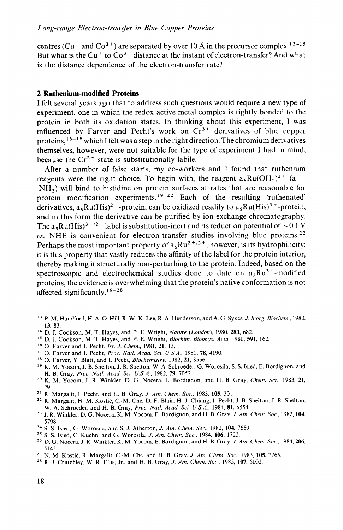centres ( $Cu$ <sup>+</sup> and  $Co$ <sup>3+</sup>) are separated by over 10 Å in the precursor complex.<sup>13-15</sup> But what is the  $Cu<sup>+</sup>$  to  $Co<sup>3+</sup>$  distance at the instant of electron-transfer? And what is the distance dependence of the electron-transfer rate?

## **2 Ruthenium-modified Proteins**

I felt several years ago that to address such questions would require a new type of experiment, one in which the redox-active metal complex is tightly bonded to the protein in both its oxidation states. In thinking about this experiment, I was influenced by Farver and Pecht's work on  $Cr<sup>3+</sup>$  derivatives of blue copper proteins, <sup>16-18</sup> which I felt was a step in the right direction. The chromium derivatives themselves, however, were not suitable for the type of experiment **I** had in mind, because the  $Cr^{2+}$  state is substitutionally labile.

After a number of false starts, my co-workers and I found that ruthenium reagents were the right choice. To begin with, the reagent  $a_{\rm s}Ru(OH_{\rm b})^{2+}$  (a = NH,) will bind to histidine on protein surfaces at rates that are reasonable for protein modification experiments.<sup>19-22</sup> Each of the resulting 'ruthenated' derivatives,  $a_5Ru(His)^{2+}$ -protein, can be oxidized readily to  $a_5Ru(His)^{3+}$ -protein, and in this form the derivative can be purified by ion-exchange chromatography. The  $a_5Ru(His)^{3+/2+}$  label is substitution-inert and its reduction potential of  $\sim 0.1$  V *us.* NHE is convenient for electron-transfer studies involving blue proteins.<sup>22</sup> Perhaps the most important property of  $a_5Ru^{3+/2+}$ , however, is its hydrophilicity; it is this property that vastly reduces the affinity of the label for the protein interior, thereby making it structurally non-perturbing to the protein. Indeed, based on the spectroscopic and electrochemical studies done to date on  $a_{\rm s}Ru^{3+}$ -modified proteins, the evidence is overwhelming that the protein's native conformation is not affected significantly. ' **9-28** 

- **l3** P. M. Handford, H. A. 0. **Hill,** R. W.-K. **Lee,** R. A. Henderson, and **A.** G. Sykes,J. *Inorg. Biochem.,* 1980, 13, 83.
- **l4** D. J. Cookson, M. T. Hayes, and P. E. Wright, *Nature (London),* 1980, 283, 682.
- **l5** D. J. Cookson, M. T. Hayes, and P. E. Wright, *Biochim. Biophys. Aria,* 1980, 591, 162.
- **l6** 0. Farver and **I.** Pecht, *Isr. J.* Chem., 1981, 21, 13.
- 0. Farver and **I.** Pecht, *Proc. Natl. Acad. Sci. U.S.A.,* 1981, 78, 4190.
- 0. Farver, Y. Blatt, and I. Pecht, *Biochemistry.* 1982, 21, 3556.
- H. B. Gray, *Proc. Natl. Acad. Sci. U.S.A.,* 1982. 79, 7052. **l9** K. M. Yocom, J. B. Shelton, **J.** R. Shelton, W. **A.** Schroeder, G. Worosila, S. S. Isied, E. Bordignon, and
- 29. **'O** K. M. Yocom, **J.** R. Winkler, D. G. Nocera, E. Bordignon, and H. B. Gray, *Chem.* Scr.. 1983, 21,
- R. Margalit, **I.** Pecht, and H. B. Gray, *J. Am. Chem. Soc.,* 1983, 105, 301.
- W. A. Schroeder, and H. B. Gray, *Proc. Natl. Acad. Sci. U.S.A.*, 1984, 81, 6554. '' R. Margalit, N. M. Kostic, C.-M. Che, D. F. Blair, H.-J. Chiang, I. Pecht, **J.** B. Shelton, J. R. Shelton,
- 5798. **<sup>23</sup>**J. R. Winkler, D. G. Nocera, K. M. Yocom, E. Bordignon, and H. B. Gray, *J. Am. Chem. Soc.,* 1982,104,
- **<sup>24</sup>**S. S. Isied, G. Worosila, and S. J. Atherton, *J. Am. Chem. Soc.,* 1982, 104, 7659.
- *<sup>25</sup>S.* **S.** Isied, **C.** Kuehn, and G. Worosila, *J. Am. Chem. Soc.,* 1984, **106,** 1722.
- *<sup>26</sup>*D. G. Nocera, **J.** R. Winkler, K. M. Yocom, E. Bordignon, and H. **B.** Gray, *J. Am. Chem. Soc..* 1984,206, '' N. M. Kostic, R. Margalit, C.-M. Che, and H. B. Gray, *J. Am. Chem. Soc.,* 1983, 105, 7765. " R. J. Crutchley, W. **R.** Ellis, Jr., and H. B. Gray, *J. Am. Chem. Soc.,* 1985, 107, 5002. 5145.
- 
-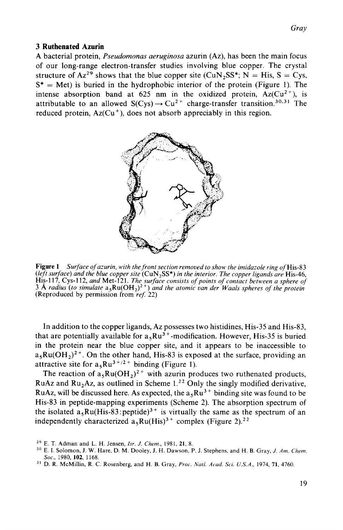### **3 Ruthenated Azurin**

A bacterial protein, *Pseudomonas aeruginosa* azurin (Az), has been the main focus of our long-range electron-transfer studies involving blue copper. The crystal structure of  $Az^{29}$  shows that the blue copper site  $(CuN_2SS^*; N = His, S = Cys,$  $S^*$  = Met) is buried in the hydrophobic interior of the protein (Figure 1). The intense absorption band at 625 nm in the oxidized protein,  $Az(Cu^{2+})$ , is attributable to an allowed  $S(Cys) \rightarrow Cu^{2+}$  charge-transfer transition.<sup>30,31</sup> The reduced protein,  $Az(Cu^{+})$ , does not absorb appreciably in this region.



**Figure 1** *Surface of azurin, with the front section removed to show the imidazole ring of* His-83 *(left surface) and the blue copper site* (CuN,SS\*) *in the interior. The copper ligands are* His-46, His-1 17, Cys-112, *and* Met-121. *The surface consists of points of contact between a sphere of*  **3** *8, radius (to simulate* a,Ru(OH,)\*+) *and the atomic van der Waals spheres of the protein*  (Reproduced by permission from *ref:* 22)

In addition to the copper ligands, Az possesses two histidines, His-35 and His-83, that are potentially available for  $a_5Ru^{3+}$ -modification. However, His-35 is buried in the protein near the blue copper site, and it appears to be inaccessible to  $a_5Ru(OH_2)^{2+}$ . On the other hand, His-83 is exposed at the surface, providing an attractive site for  $a_5Ru^{3+/2+}$  binding (Figure 1).

The reaction of  $a_5Ru(OH_2)^{2+}$  with azurin produces two ruthenated products, RuAz and Ru,Az, as outlined in Scheme **1.22** Only the singly modified derivative, RuAz, will be discussed here. As expected, the  $a_5Ru^{3+}$  binding site was found to be His-83 in peptide-mapping experiments (Scheme 2). The absorption spectrum of the isolated  $a_5Ru(His-83$ : peptide)<sup>3+</sup> is virtually the same as the spectrum of an independently characterized  $a_5Ru(His)^{3+}$  complex (Figure 2).<sup>22</sup>

**<sup>29</sup>**E. T. Adman and **L.** H. Jensen, *Isr. J. Chrm.,* 1981, **21,** 8.

<sup>30</sup> E. I. Solomon, J. W. Hare, D. M. Dooley, J. H. Dawson, P. J. Stephens, and H. B. Gray, *J. Am. Chem. SOC.,* 1980, **102,** 1168.

**<sup>31</sup>**D. R. McMillin, R. *C.* Rosenberg, and H. **B.** Gray, *Proc.. Natl. Acad. Sci. U.S.A.,* 1974, **71,** 4760.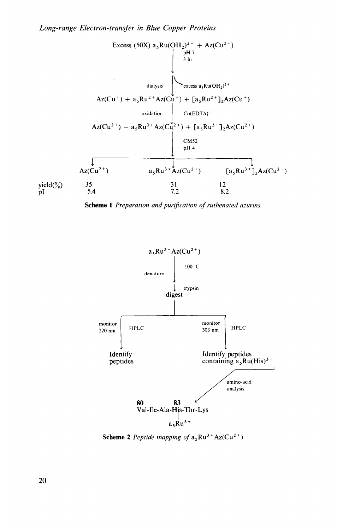

**Scheme 1** *Preparation and purijication of ruthenated azurins* 



**Scheme 2** Peptide mapping of  $a_5Ru^{3+}Az(Cu^{2+})$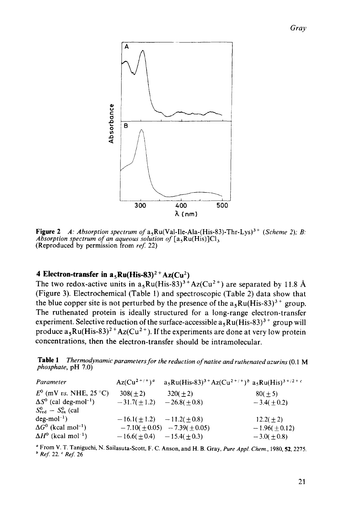

**Figure 2** A: Absorption spectrum of  $a_5Ru(Va1-Ile-Ala-(His-83)-Thr-Lys)^3$   $+$  *(Scheme 2); B: Absorption spectrum of an aqueous solution of*  $[a_5Ru(His)]Cl_3$ (Reproduced by permission from *reJ* 22)

## **4 Electron-transfer in**  $a_5Ru(His-83)^2 + Az(Cu^2)$

The two redox-active units in  $a_5Ru(His-83)^3 + Az(Cu^{2+})$  are separated by 11.8 Å (Figure 3). Electrochemical (Table 1) and spectroscopic (Table 2) data show that the blue copper site is not perturbed by the presence of the  $a_5Ru(His-83)^{3+}$  group. The ruthenated protein is ideally structured for a long-range electron-transfer experiment. Selective reduction of the surface-accessible  $a_5Ru(His-83)^3$  + group will produce  $a_5Ru(His-83)^{2+}Az(Cu^{2+})$ . If the experiments are done at very low protein concentrations, then the electron-transfer should be intramolecular.

**Table 1** *Thermodynamic parameters for the reduction of native and* ' *ruthenated azurins* **(0.1 M**  *phosphate,* pH **7.0)** 

| Parameter                                 | $Az(Cu^{2+}/^+)^a$                | $a_5Ru(His-83)^{3+}Az(Cu^{2+/-})^b a_5Ru(His)^{3+/-}c$ |                |
|-------------------------------------------|-----------------------------------|--------------------------------------------------------|----------------|
| $E^0$ (mV vs. NHE, 25 °C)                 | $308(+2)$                         | $320(+2)$                                              | $80(+5)$       |
| $\Delta S^0$ (cal deg-mol <sup>-1</sup> ) | $-31.7(\pm 1.2)$ $-26.8(\pm 0.8)$ |                                                        | $-3.4(+0.2)$   |
| $S^0_{\text{red}} - S^0_{\text{ox}}$ (cal |                                   |                                                        |                |
| $deg$ -mol <sup>-1</sup> )                | $-16.1(+1.2) -11.2(+0.8)$         |                                                        | $12.2(\pm 2)$  |
| $\Delta G^0$ (kcal mol <sup>-1</sup> )    |                                   | $-7.10(\pm 0.05) -7.39(\pm 0.05)$                      | $-1.96(+0.12)$ |
| $\Delta H^0$ (kcal mol <sup>-1</sup> )    | $-16.6(\pm 0.4) -15.4(\pm 0.3)$   |                                                        | $-3.0(+0.8)$   |

From V. T. Taniguchi, N. Sailasuta-Scott, F. C. Anson, and H. B. Gray, *Pure Appl. Chem.,* **1980,52,2275.**  *Ref:* **22.** *Ref: 26*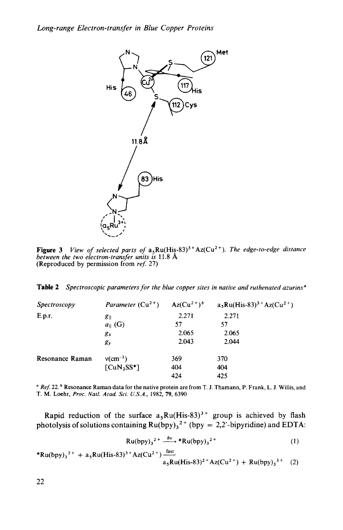

**Figure** *3 between the two electron-transfer units is* **11.8** A **(Reproduced by permission from** *re\$* 27) *View of selected parts of*  $a_5Ru(His-83)^3 + Az(Cu^2)$ . *The edge-to-edge distance* 

|  | <b>Table 2</b> Spectroscopic parameters for the blue copper sites in native and ruthenated azurins <sup>a</sup> |  |  |  |  |  |  |  |  |  |  |
|--|-----------------------------------------------------------------------------------------------------------------|--|--|--|--|--|--|--|--|--|--|
|--|-----------------------------------------------------------------------------------------------------------------|--|--|--|--|--|--|--|--|--|--|

| <i>Spectroscopy</i> | Parameter $(Cu^{2+})$ Az $(Cu^{2+})^b$ |       | $a_5Ru(His-83)^3$ <sup>+</sup> Az(Cu <sup>2+</sup> ) |
|---------------------|----------------------------------------|-------|------------------------------------------------------|
| E.p.r.              | $g_{\parallel}$                        | 2.271 | 2.271                                                |
|                     | $a_{\parallel}$ (G)                    | 57    | 57                                                   |
|                     | $g_x$                                  | 2.065 | 2.065                                                |
|                     | gy                                     | 2.043 | 2.044                                                |
| Resonance Raman     | $v$ (cm <sup>-1</sup> )                | 369   | 370                                                  |
|                     | $\lceil \text{CuN}_2\text{SS}^*\rceil$ | 404   | 404                                                  |
|                     |                                        | 424   | 425                                                  |

*Ref:* 22. **Resonance Raman data for the native protein are from** T. **J. Thamann, P. Frank, L. J. Willis, and T. M. Loehr,** *Proc. Natl. Acad. Sci. U.S.A.,* **1982, 79, 6390** 

**Rapid reduction of the surface**  $a_5Ru(His-83)^3$  **+ group is achieved by flash** photolysis of solutions containing  $Ru(bpy)_3^2$ <sup>+</sup> (bpy = 2,2'-bipyridine) and EDTA:

$$
Ru(bpy)_3^{2+} \xrightarrow{hv} *Ru(bpy)_3^{2+} \tag{1}
$$

 $*Ru(bpy)_{3}^{2+} + a_{5}Ru(His-83)^{3+}Az(Cu^{2+}) \frac{fast}{...}$  $a_5Ru(His-83)^{2+}Az(Cu^{2+}) + Ru(bpy)_3^{3+}$  (2)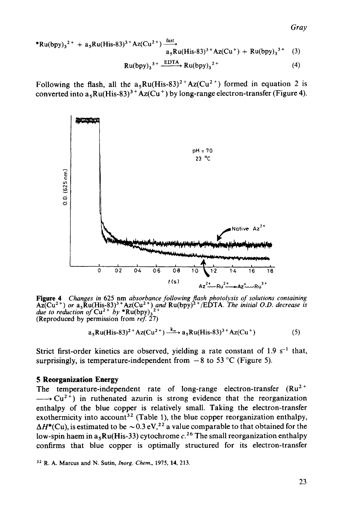\*Ru(bpy)<sub>3</sub><sup>2+</sup> + a<sub>5</sub>Ru(His-83)<sup>3+</sup>Az(Cu<sup>2+</sup>) 
$$
\frac{\text{fast}}{a_5 \text{Ru(His-83)}^{3+} \text{Az(Cu+) + Ru(bpy)}_3^{3+}}
$$
 (3)  
Ru(bpy)<sub>3</sub><sup>3+</sup>  $\frac{\text{EDTA}}{\text{Eu(bpy)}_3^{2+}}$  Ru(bpy)<sub>3</sub><sup>2+</sup> (4)

Following the flash, all the  $a_5Ru(His-83)^{2+}Az(Cu^{2+})$  formed in equation 2 is converted into  $a_5Ru(His-83)^3$ <sup>+</sup> Az(Cu<sup>+</sup>) by long-range electron-transfer (Figure 4).



**Figure 4** Changes in 625 nm absorbance following flash photolysis of solutions containing  $Az(Cu^{2+})$  or  $a_5Ru(His-83)^3$ <sup>+</sup>  $Az(Cu^{2+})$  and  $Ru(bpy)^2$ <sup>+</sup>/EDTA. The initial O.D. decrease is due to reduction of  $Cu^{2+}$  by \* $Ru(bpy)_3$ <sup></sup> **(Reproduced by permission from** *ref:* **27)** 

$$
a_5Ru(His-83)^{2+}Az(Cu^{2+}) \xrightarrow{k_{et}} a_5Ru(His-83)^{3+}Az(Cu^{+})
$$
 (5)

Strict first-order kinetics are observed, yielding a rate constant of  $1.9 \text{ s}^{-1}$  that, surprisingly, is temperature-independent from  $-8$  to 53 °C (Figure 5).

### **5** Reorganization Energy

The temperature-independent rate of long-range electron-transfer  $(Ru^{2+} \longrightarrow Cu^{2+})$  in ruthenated azurin is strong evidence that the reorganization enthalpy of the blue copper is relatively small. Taking the electron-transfer exothermicity into account<sup>32</sup> (Table 1), the blue copper reorganization enthalpy,  $\Delta H^*(\text{Cu})$ , is estimated to be  $\sim 0.3 \text{ eV}^{22}$  a value comparable to that obtained for the low-spin haem in a,Ru(His-33) cytochrome *c.26* The small reorganization enthalpy confirms that blue copper is optimally structured for its electron-transfer

**<sup>32</sup> R. A. Marcus and N. Sutin,** *Inorg. Chem.,* **1975, 14, 213.**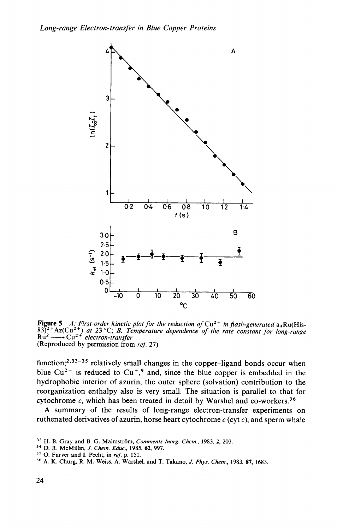

**Figure 5** A: First-order kinetic plot for the reduction of  $Cu^{2+}$  in flash-generated  $a_5Ru(His-83)^2$   $Az(Cu^{2+})$  at 23 °C; B: Temperature dependence of the rate constant for long-range **Figure 5** *A: First-order kinetic 1837<sup>2</sup> + Az(Cu<sup>2+</sup>) <i>at 23* °C; *B: Tel*<br>Ru<sup>2</sup> → Cu<sup>2+</sup> *electron-transfer* (Reproduced by permission from **(Reproduced by permission** from *ref: 27)* 

function;<sup>2,33-35</sup> relatively small changes in the copper-ligand bonds occur when blue  $Cu^{2+}$  is reduced to  $Cu^{+}$ , and, since the blue copper is embedded in the hydrophobic interior of azurin, the outer sphere (solvation) contribution to the reorganization enthalpy also is very small. The situation is parallel to that for cytochrome  $c$ , which has been treated in detail by Warshel and co-workers.<sup>36</sup>

**A** summary of the results of long-range electron-transfer experiments on ruthenated derivatives of azurin, horse heart cytochrome *c* (cyt *c),* and sperm whale

**<sup>33</sup> H. B. Gray and B. G. Malmstrom,** *Comments Inorg. Chem.,* **1983, 2, 203.** 

**<sup>34</sup>D. R. McMillin,** *J. Chem. Educ.,* **1985, 62, 997.** 

<sup>&</sup>lt;sup>35</sup> O. Farver and I. Pecht, in *ref.* p. 151.

**<sup>36</sup>A. K. Churg, R. M. Weiss, A. Warshel, and T. Takano,** *J. Phys. Chem.,* **1983, 87, 1683.**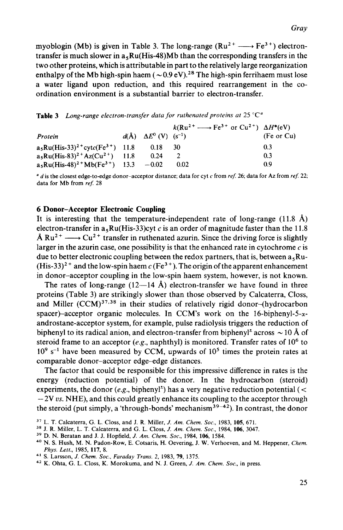myoblogin (Mb) is given in Table 3. The long-range ( $Ru^{2+} \longrightarrow Fe^{3+}$ ) electrontransfer is much slower in  $a_5Ru(His-48)Mb$  than the corresponding transfers in the two other proteins, which is attributable in part to the relatively large reorganization enthalpy of the Mb high-spin haem  $({\sim}0.9 \text{ eV})$ .<sup>28</sup> The high-spin ferrihaem must lose a water ligand upon reduction, and this required rearrangement in the coordination environment is a substantial barrier to electron-transfer.

**Table 3** *Long-range electron-transfer data for ruthenated proteins at* 25 *"C0* 

| ordination environment is a substantial barrier to electron-transfer.                                   |  |                                             |                                                                         |            |  |  |  |  |  |
|---------------------------------------------------------------------------------------------------------|--|---------------------------------------------|-------------------------------------------------------------------------|------------|--|--|--|--|--|
| <b>Table 3</b> Long-range electron-transfer data for ruthenated proteins at $25^{\circ}$ C <sup>a</sup> |  |                                             |                                                                         |            |  |  |  |  |  |
|                                                                                                         |  |                                             | $k(Ru^{2+} \longrightarrow Fe^{3+} \text{ or } Cu^{2+}) \Delta H^*(eV)$ |            |  |  |  |  |  |
| Protein                                                                                                 |  | $d(\text{\AA})$ $\Delta E^0$ (V) $(s^{-1})$ |                                                                         | (Fe or Cu) |  |  |  |  |  |
| $a_5Ru(His-33)^{2}$ + cyt $c(Fe^{3+})$ 11.8                                                             |  | 0.18                                        | -30                                                                     | 0.3        |  |  |  |  |  |
| $a_5Ru(His-83)^{2+}Az(Cu^{2+})$ 11.8                                                                    |  | 0.24                                        | 2                                                                       | 0.3        |  |  |  |  |  |
| $a_5Ru(His-48)^{2+}Mb(Fe^{3+})$ 13.3                                                                    |  | $-0.02$                                     | 0.02                                                                    | 0.9        |  |  |  |  |  |

*d* is the closest edge-to-edge donor-acceptor distance; data for cyt **c** from *ref:* 26; data for **Az** from *ref:* 22; data for Mb from *ref:* 28

### **6 Donor-Acceptor Electronic Coupling**

It is interesting that the temperature-independent rate of long-range  $(11.8 \text{ Å})$ electron-transfer in  $a_5Ru(His-33)cyt c$  is an order of magnitude faster than the 11.8 **6 Donor-Acceptor Electronic Coupling**<br>It is interesting that the temperature-independent rate of long-range (11.8 Å)<br>electron-transfer in  $a_5Ru(His-33)cyt c$  is an order of magnitude faster than the 11.8<br>Å  $Ru^{2+} \longrightarrow Cu^{2+}$  tran larger in the azurin case, one possibility is that the enhanced rate in cytochrome  $c$  is due to better electronic coupling between the redox partners, that is, between  $a_5Ru$ - $(His-33)<sup>2+</sup>$  and the low-spin haem c (Fe<sup>3+</sup>). The origin of the apparent enhancement in donor-acceptor coupling in the low-spin haem system, however, is not known.

The rates of long-range  $(12-14 \text{ Å})$  electron-transfer we have found in three proteins (Table 3) are strikingly slower than those observed by Calcaterra, Closs, and Miller  $(CCM)^{37,38}$  in their studies of relatively rigid donor-(hydrocarbon spacer)-acceptor organic molecules. In CCM's work on the 16-biphenyl-5- $\alpha$ androstane-acceptor system, for example, pulse radiolysis triggers the reduction of biphenyl to its radical anion, and electron-transfer from biphenyl<sup>2</sup> across  $\sim$  10 Å of steroid frame to an acceptor  $(e.g.,$  naphthyl) is monitored. Transfer rates of  $10<sup>6</sup>$  to  $10<sup>9</sup>$  s<sup>-1</sup> have been measured by CCM, upwards of  $10<sup>5</sup>$  times the protein rates at comparable donor-acceptor edge-edge distances.

The factor that could be responsible for this impressive difference in rates is the energy (reduction potential) of the donor. In the hydrocarbon (steroid) experiments, the donor  $(e.g., \text{bipheny}^+)$  has a very negative reduction potential ( $\lt$ - 2V *us.* **NHE),** and this could greatly enhance its coupling to the acceptor through the steroid (put simply, a 'through-bonds' mechanism<sup>39-42</sup>). In contrast, the donor

**<sup>38</sup>**J. R. Miller, L. T. Calcaterra, and G. L. Closs, J. Am. *Chem. Soc.,* 1984, **106,** 3047.

**<sup>37</sup>**L. T. Calcaterra, G. L. Closs, and J. R. Miller, J. Am. *Chem. SOC.,* 1983, **105,** 671.

**<sup>39</sup>**D. N. Beratan and J. J. Hopfield, J. Am. *Chem. Soc.,* 1984, **106,** 1584.

**<sup>40</sup>**N. S. Hush, M. N. Padon-Row, E. Cotsaris, H. Oevering, J. W. Verhoeven, and M. Heppener, *Chem. Phys. Left.,* **1985, 117, 8.** 

**<sup>41</sup>**S. Larsson, J. *Chem. Soc.. Faraday Trans. 2,* 1983, **79,** 1375.

<sup>&</sup>lt;sup>42</sup> K. Ohta, G. L. Closs, K. Morokuma, and N. J. Green, *J. Am. Chem. Soc.*, in press.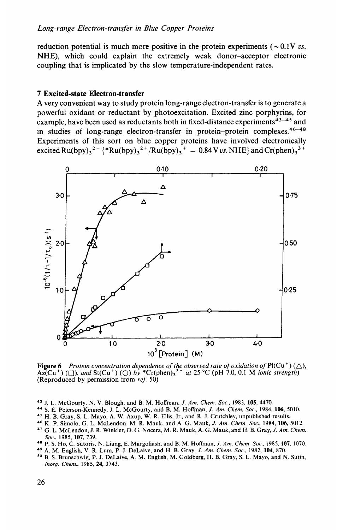#### *Long-range Electron-transfer in Blue Copper Proteins*

reduction potential is much more positive in the protein experiments ( $\sim 0.1V$  *vs.* **NHE),** which could explain the extremely weak donor-acceptor electronic coupling that is implicated by the slow temperature-independent rates.

### **7 Excited-state Electron-transfer**

**A** very convenient way to study protein long-range electron-transfer is to generate a powerful oxidant or reductant by photoexcitation. Excited zinc porphyrins, for example, have been used as reductants both in fixed-distance experiments $43-45$  and in studies of long-range electron-transfer in protein-protein complexes. $46-48$ Experiments of this sort on blue copper proteins have involved electronically  $\text{excited } \text{Ru(bpy)}_3{}^{2+} {\{* \text{Ru(bpy)}_3{}^{2+}} / \text{Ru(bpy)}_3{}^{+} = 0.84 \text{ V} \text{ vs. } \text{NHE} \} \text{ and } \text{Cr(phen)}_3{}^{3+}$ 



**Figure 6** Protein concentration dependence of the observed rate of oxidation of Pl(Cu<sup>+</sup>) ( $\triangle$ ),  $AZ(Cu^{+})$  ( $\Box$ ), and  $St(Cu^{+})$  ( $\bigcirc$ ) *by* \* $Cr(phen)_{3}^{3+}$  *at* 25 °C (pH 7.0, 0.1 M *ionic strength*) (Reproduced by permission from *reJ* 50)

- J. L. McGourty, N. V. Blough, and B. M. Hoffman, J. Am. *Chem. SOC.,* 1983, **105,** 4470.
- **<sup>44</sup>**S. E. Peterson-Kennedy, J. L. McGourty, and B. M. Hoffman, *J. Am. Chem. SOC.,* 1984, **106,** 5010.
- <sup>45</sup> H. B. Gray, S. L. Mayo, A. W. Axup, W. R. Ellis, Jr., and R. J. Crutchley, unpublished results.
- **<sup>46</sup>**K. P. **Simolo,** G. L. McLendon, M. R. Mauk, and **A.** G. Mauk, *J. Am. Chem. SOC.,* 1984, **106,** 5012.
- **<sup>47</sup>**G. L. McLendon, J. R. Winkler, D. G. Nocera, M. R. Mauk, **A.** G. Mauk, and H. B. Gray, J. *Am. Chem. SOC.,* 1985, 107, 739.
- **<sup>48</sup>P. S.** Ho, C. Sutoris, N. Liang, E. Margoliash, and B. M. Hoffman, *J. Am.* Chem. *Soc.,* 1985, **107,** 1070.
- **49 A.** M. English, V. R. Lum, P. J. DeLaive, and H. B. Gray, *J. Am. Chem. SOC.,* 1982, **104,** 870.
- B. S. Brunschwig, P. J. DeLaive, **A.** M. English, M. Goldberg, H. B. Gray, S. L. Mayo, and N. Sutin, Inorg. *Chem.,* 1985, **24,** 3743.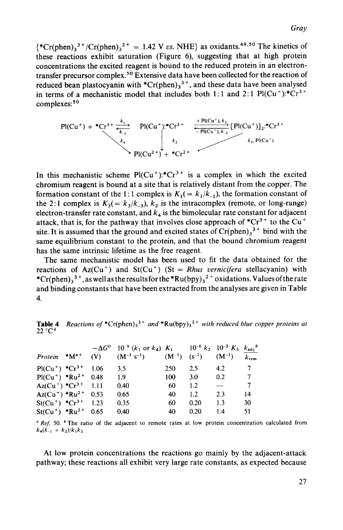$\{^*Cr(phen)_3^3$ <sup>+</sup>/Cr(phen)<sub>3</sub><sup>2+</sup> = 1.42 V *vs.* NHE} as oxidants.<sup>49,50</sup> The kinetics of these reactions exhibit saturation (Figure *6),* suggesting that at high protein concentrations the excited reagent is bound to the reduced protein in an electrontransfer precursor complex.50 Extensive data have been collected for the reaction of reduced bean plastocyanin with  ${}^{\ast}Cr(\text{phen})<sub>3</sub>$ <sup>3+</sup>, and these data have been analysed in terms of a mechanistic model that includes both 1:1 and 2:1 Pl(Cu<sup>+</sup>):\*Cr<sup>3+</sup> complexes:<sup>50</sup>



In this mechanistic scheme  $Pl(Cu^+):$ \* $Cr^{3+}$  is a complex in which the excited chromium reagent is bound at a site that is relatively distant from the copper. The formation constant of the 1:1 complex is  $K_1 = k_1/k_1$ , the formation constant of the 2:1 complex is  $K_3(=k_3/k_3)$ ,  $k_2$  is the intracomplex (remote, or long-range) electron-transfer rate constant, and  $k_4$  is the bimolecular rate constant for adjacent attack, that is, for the pathway that involves close approach of  $^*Cr^{3+}$  to the Cu<sup>+</sup> site. It is assumed that the ground and excited states of  $Cr(phen)<sub>3</sub><sup>3+</sup>$  bind with the same equilibrium constant to the protein, and that the bound chromium reagent has the same intrinsic lifetime as the free reagent.

The same mechanistic model has been used to fit the data obtained for the reactions of  $Az(Cu^+)$  and  $St(Cu^+)$  (St = *Rhus vernicifera* stellacyanin) with \*Cr(phen),  $3^+$ , as well as the results for the \*Ru(bpy),  $3^+$  oxidations. Values of the rate and binding constants that have been extracted from the analyses are given in Table **4.** 

**Table 4** Reactions of  ${}^*Cr$ (phen)<sub>3</sub><sup>3+</sup> *and*  ${}^*Ru(bpy)$ <sub>3</sub><sup>2+</sup> *with reduced blue copper proteins at* **22 "C"** 

| $Protein$ * $M^{n+}$                        | (V) | $-\Delta G^0$ 10 <sup>-9</sup> (k <sub>1</sub> or k <sub>4</sub> ) K <sub>1</sub> 10 <sup>-6</sup> k <sub>2</sub> 10 <sup>-3</sup> K <sub>3</sub> k <sub>adj</sub> <sup>b</sup><br>$(M^{-1} s^{-1})$ $(M^{-1}) (s^{-1}) (M^{-1})$ |     |         |                          | $k_{\rm rem}$ |
|---------------------------------------------|-----|-----------------------------------------------------------------------------------------------------------------------------------------------------------------------------------------------------------------------------------|-----|---------|--------------------------|---------------|
| $Pl(Cu^{+})$ *Cr <sup>3+</sup> 1.06         |     | 3.5                                                                                                                                                                                                                               | 250 | 2.5     | 4.2                      |               |
| $Pl(Cu^{+})$ *Ru <sup>2+</sup> 0.48         |     | 1.9                                                                                                                                                                                                                               | 100 | 3.0     | 0.2                      | 7             |
| $Az(Cu^{+})$ * $Cr^{3+}$ 1.11               |     | 0.40                                                                                                                                                                                                                              | 60  | 1.2     | $\overline{\phantom{m}}$ | 7             |
| Az(Cu <sup>+</sup> ) *Ru <sup>2+</sup> 0.53 |     | 0.65                                                                                                                                                                                                                              | 40  | $1.2\,$ | 2.3                      | 14            |
| $St(Cu^+)$ * $Cr^{3+}$ 1.23                 |     | 0.35                                                                                                                                                                                                                              | 60  | 0.20    | 1.3                      | 30            |
| $St(Cu^{+})$ *Ru <sup>2+</sup> 0.65         |     | 0.40                                                                                                                                                                                                                              | 40  | 0.20    | 1.4                      | 51            |

<sup>*a Ref.* 50. <sup>*b*</sup> The ratio of the adjacent to remote rates at low protein concentration calculated from</sup>  $k_4(k_{-1} + k_2)/k_1k_2$ 

At low protein concentrations the reactions go mainly by the adjacent-attack pathway; these reactions all exhibit very large rate constants, as expected because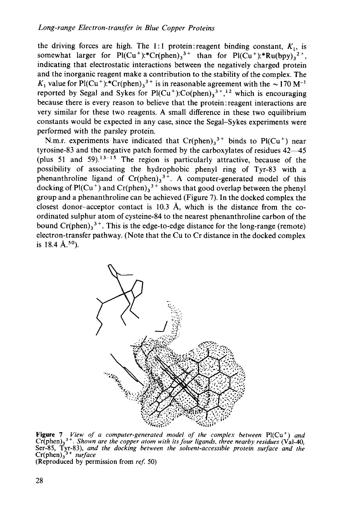the driving forces are high. The 1:1 protein:reagent binding constant,  $K_1$ , is somewhat larger for Pl(Cu<sup>+</sup>):\*Cr(phen)<sub>3</sub><sup>3+</sup> than for Pl(Cu<sup>+</sup>):\*Ru(bpy)<sub>3</sub><sup>2+</sup>, indicating that electrostatic interactions between the negatively charged protein and the inorganic reagent make a contribution to the stability of the complex. The  $K_1$  value for Pl(Cu<sup>+</sup>):\*Cr(phen)<sub>3</sub><sup>3+</sup> is in reasonable agreement with the  $\sim$  170 M<sup>-1</sup> reported by Segal and Sykes for Pl(Cu<sup>+</sup>):Co(phen)<sub>3</sub><sup>3+</sup>,<sup>12</sup> which is encouraging because there is every reason to believe that the protein:reagent interactions are very similar for these two reagents. **A** small difference in these two equilibrium constants would be expected in any case, since the Segal-Sykes experiments were performed with the parsley protein.

N.m.r. experiments have indicated that  $Cr(phen)<sub>3</sub>$ <sup>3+</sup> binds to Pl(Cu<sup>+</sup>) near tyrosine-83 and the negative patch formed by the carboxylates of residues  $42-45$ (plus 51 and 59).<sup>13-15</sup> The region is particularly attractive, because of the possibility of associating the hydrophobic phenyl ring of Tyr-83 with a phenanthroline ligand of  $Cr(phen)<sub>3</sub><sup>3+</sup>$ . A computer-generated model of this docking of Pl(Cu<sup>+</sup>) and Cr(phen)<sub>3</sub><sup>3+</sup> shows that good overlap between the phenyl group and a phenanthroline can be achieved (Figure **7).** In the docked complex the closest donor-acceptor contact is 10.3 A, which is the distance from the coordinated sulphur atom of cysteine-84 to the nearest phenanthroline carbon of the bound  $Cr(phen)_{3}^{3+}$ . This is the edge-to-edge distance for the long-range (remote) electron-transfer pathway. (Note that the Cu to Cr distance in the docked complex is 18.4 **A.50).** 



**Figure 7** View of a computer-generated model of the complex between  $Pl(Cu^+)$  and  $Cr(phen)_3^{3+}$ . Shown are the copper atom with its four ligands, three nearby residues (Val-40, exer-85, Tyr-83), and the docking between the s Er(phen)<sub>3</sub><sup>3+</sup> *surface*<br>(Reproduced by permission from *ref.* 50)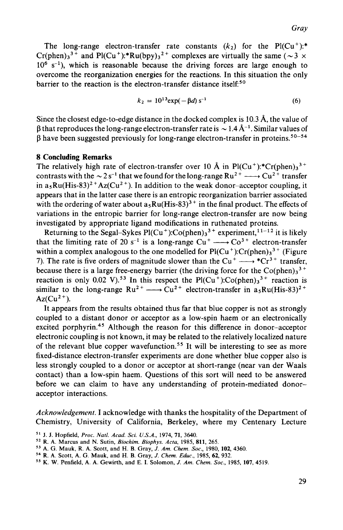The long-range electron-transfer rate constants  $(k_2)$  for the Pl(Cu<sup>+</sup>):\* Cr(phen)<sub>3</sub><sup>3+</sup> and Pl(Cu<sup>+</sup>):\*Ru(bpy)<sub>3</sub><sup>2+</sup> complexes are virtually the same ( $\sim$  3 x  $10^6$  s<sup>-1</sup>), which is reasonable because the driving forces are large enough to overcome the reorganization energies for the reactions. In this situation the only barrier to the reaction is the electron-transfer distance itself.<sup>50</sup>

$$
k_2 = 10^{13} \exp(-\beta d) s^{-1}
$$
 (6)

Since the closest edge-to-edge distance in the docked complex is 10.3 A, the value of  $\beta$  that reproduces the long-range electron-transfer rate is  $\sim 1.4 \text{ Å}^{-1}$ . Similar values of

#### **8 Concluding Remarks**

β have been suggested previously for long-range electron-transfer in proteins.<sup>50–54</sup><br> **8 Concluding Remarks**<br>
The relatively high rate of electron-transfer over 10 Å in Pl(Cu<sup>+</sup>):\*Cr(phen)<sub>3</sub><sup>3+</sup><br>
contrasts with the  $\sim$ The relatively high rate of electron-transfer over 10 Å in Pl(Cu<sup>+</sup>):\*Cr(phen)<sub>3</sub><sup>3+</sup> contrasts with the  $\sim 2 s^{-1}$  that we found for the long-range Ru<sup>2+</sup> -----> Cu<sup>2+</sup> transfer in  $a_5Ru(His-83)^{2+}Az(Cu^{2+})$ . In addition to the weak donor-acceptor coupling, it appears that in the latter case there is an entropic reorganization barrier associated with the ordering of water about  $a_5Ru(His-83)^3$ <sup>+</sup> in the final product. The effects of variations in the entropic barrier for long-range electron-transfer are now being investigated by appropriate ligand modifications in ruthenated proteins.

Returning to the Segal-Sykes  $Pl(Cu^+)$ :Co(phen)<sub>3</sub><sup>3+</sup> experiment,<sup>11-12</sup> it is likely that the limiting rate of 20 s<sup>-1</sup> is a long-range  $Cu^+ \longrightarrow Co^{3+}$  electron-transfer within a complex analogous to the one modelled for  $Pl(Cu^+)$ :Cr(phen)<sub>3</sub><sup>3+</sup> (Figure 7). The rate is five orders of magnitude slower than the Cu<sup>+</sup>  $\longrightarrow$  \*Cr<sup>3+</sup> transfer, because there is a large free-energy barrier (the dr 7). The rate is five orders of magnitude slower than the  $Cu^+ \longrightarrow Cr^{3+}$  transfer, because there is a large free-energy barrier (the driving force for the  $Co(phen)<sub>3</sub><sup>3+</sup>$ reaction is only 0.02 V).<sup>53</sup> In this respect the  $Pl(Cu^+)$ :Co(phen)<sub>3</sub><sup>3+</sup> reaction is  $Az(Cu<sup>2+</sup>).$ 

It appears from the results obtained thus far that blue copper is not as strongly coupled to a distant donor or acceptor as a low-spin haem or an electronically excited porphyrin.<sup>45</sup> Although the reason for this difference in donor-acceptor electronic coupling is not known, it may be related to the relatively localized nature of the relevant blue copper wavefunction.<sup>55</sup> It will be interesting to see as more fixed-distance electron-transfer experiments are done whether blue copper also is less strongly coupled to a donor or acceptor at short-range (near van der Waals contact) than a low-spin haem. Questions of this sort will need to be answered before we can claim to have any understanding of protein-mediated donoracceptor interactions.

*Acknowledgement.* **I** acknowledge with thanks the hospitality of the Department of Chemistry, University of California, Berkeley, where my Centenary Lecture

- *<sup>52</sup>*R. **A. Marcus and** N. **Sutin,** *Biochim. Biophys. Acta,* **1985, 811, 265.**
- **<sup>53</sup>A. G. Mauk,** R. **A. Scott, and H. B. Gray,** *J. Am. Chem. Soc.,* **1980, 102, 4360.**
- **<sup>54</sup>R. A. Scott, A. G. Mauk, and H. B. Gray,** *J. Chem. Educ.,* **1985, 62,932.**
- *<sup>55</sup>***K. W. Penfield, A. A. Gewirth, and E. I. Solomon,** *J. Am. Chem. Soc.,* **1985, 107, 4519.**

**<sup>51</sup>J. J. Hopfield,** *Proc. Natl. Acad. Sci. U.S.A.,* **1974, 71, 3640.**